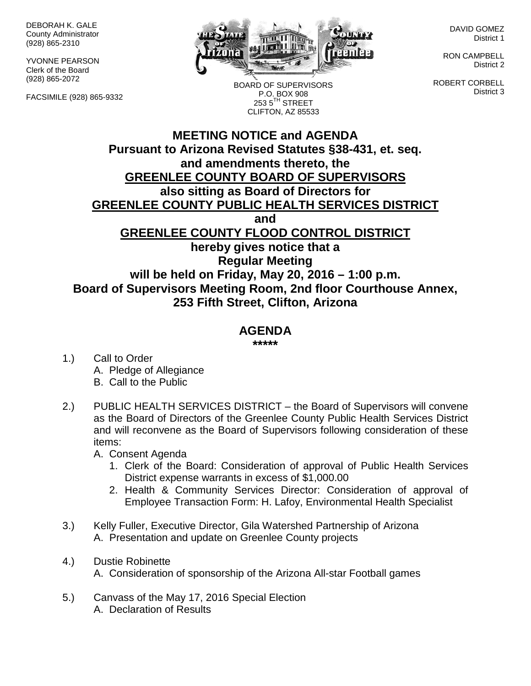DEBORAH K. GALE County Administrator (928) 865-2310

YVONNE PEARSON Clerk of the Board (928) 865-2072

FACSIMILE (928) 865-9332



BOARD OF SUPERVISORS P.O. BOX 908  $2535^{\text{TH}}$  STREET CLIFTON, AZ 85533

DAVID GOMEZ District 1

RON CAMPBELL District 2

ROBERT CORBELL District 3

## **MEETING NOTICE and AGENDA Pursuant to Arizona Revised Statutes §38-431, et. seq. and amendments thereto, the GREENLEE COUNTY BOARD OF SUPERVISORS also sitting as Board of Directors for GREENLEE COUNTY PUBLIC HEALTH SERVICES DISTRICT and GREENLEE COUNTY FLOOD CONTROL DISTRICT hereby gives notice that a Regular Meeting will be held on Friday, May 20, 2016 – 1:00 p.m. Board of Supervisors Meeting Room, 2nd floor Courthouse Annex, 253 Fifth Street, Clifton, Arizona**

## **AGENDA**

**\*\*\*\*\***

- 1.) Call to Order A. Pledge of Allegiance B. Call to the Public
- 2.) PUBLIC HEALTH SERVICES DISTRICT the Board of Supervisors will convene as the Board of Directors of the Greenlee County Public Health Services District and will reconvene as the Board of Supervisors following consideration of these items:

A. Consent Agenda

- 1. Clerk of the Board: Consideration of approval of Public Health Services District expense warrants in excess of \$1,000.00
- 2. Health & Community Services Director: Consideration of approval of Employee Transaction Form: H. Lafoy, Environmental Health Specialist
- 3.) Kelly Fuller, Executive Director, Gila Watershed Partnership of Arizona A. Presentation and update on Greenlee County projects
- 4.) Dustie Robinette A. Consideration of sponsorship of the Arizona All-star Football games
- 5.) Canvass of the May 17, 2016 Special Election A. Declaration of Results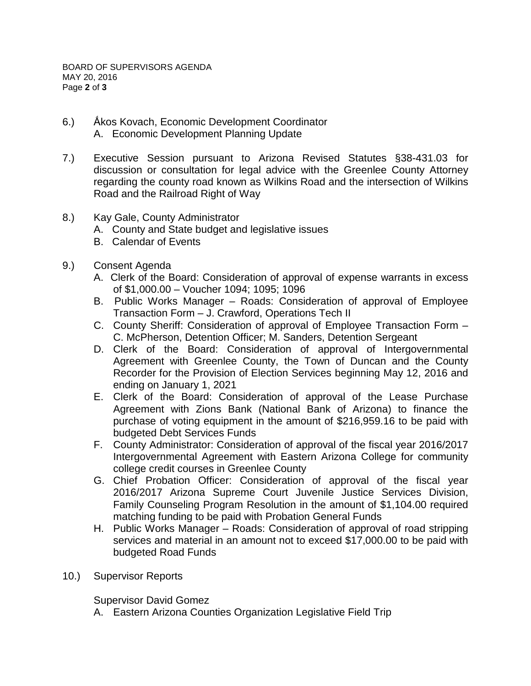- 6.) Ấkos Kovach, Economic Development Coordinator A. Economic Development Planning Update
- 7.) Executive Session pursuant to Arizona Revised Statutes §38-431.03 for discussion or consultation for legal advice with the Greenlee County Attorney regarding the county road known as Wilkins Road and the intersection of Wilkins Road and the Railroad Right of Way
- 8.) Kay Gale, County Administrator
	- A. County and State budget and legislative issues
	- B. Calendar of Events
- 9.) Consent Agenda
	- A. Clerk of the Board: Consideration of approval of expense warrants in excess of \$1,000.00 – Voucher 1094; 1095; 1096
	- B. Public Works Manager Roads: Consideration of approval of Employee Transaction Form – J. Crawford, Operations Tech II
	- C. County Sheriff: Consideration of approval of Employee Transaction Form C. McPherson, Detention Officer; M. Sanders, Detention Sergeant
	- D. Clerk of the Board: Consideration of approval of Intergovernmental Agreement with Greenlee County, the Town of Duncan and the County Recorder for the Provision of Election Services beginning May 12, 2016 and ending on January 1, 2021
	- E. Clerk of the Board: Consideration of approval of the Lease Purchase Agreement with Zions Bank (National Bank of Arizona) to finance the purchase of voting equipment in the amount of \$216,959.16 to be paid with budgeted Debt Services Funds
	- F. County Administrator: Consideration of approval of the fiscal year 2016/2017 Intergovernmental Agreement with Eastern Arizona College for community college credit courses in Greenlee County
	- G. Chief Probation Officer: Consideration of approval of the fiscal year 2016/2017 Arizona Supreme Court Juvenile Justice Services Division, Family Counseling Program Resolution in the amount of \$1,104.00 required matching funding to be paid with Probation General Funds
	- H. Public Works Manager Roads: Consideration of approval of road stripping services and material in an amount not to exceed \$17,000.00 to be paid with budgeted Road Funds
- 10.) Supervisor Reports

Supervisor David Gomez

A. Eastern Arizona Counties Organization Legislative Field Trip